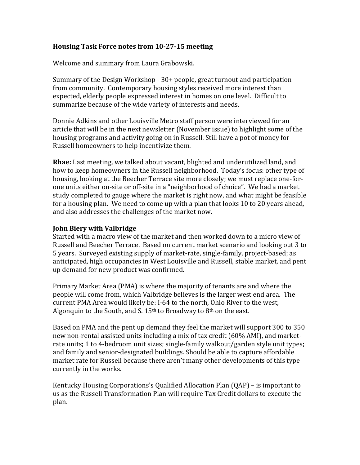## **Housing Task Force notes from 10-27-15 meeting**

Welcome and summary from Laura Grabowski.

Summary of the Design Workshop - 30+ people, great turnout and participation from community. Contemporary housing styles received more interest than expected, elderly people expressed interest in homes on one level. Difficult to summarize because of the wide variety of interests and needs.

Donnie Adkins and other Louisville Metro staff person were interviewed for an article that will be in the next newsletter (November issue) to highlight some of the housing programs and activity going on in Russell. Still have a pot of money for Russell homeowners to help incentivize them.

**Rhae:** Last meeting, we talked about vacant, blighted and underutilized land, and how to keep homeowners in the Russell neighborhood. Today's focus: other type of housing, looking at the Beecher Terrace site more closely; we must replace one-forone units either on-site or off-site in a "neighborhood of choice". We had a market study completed to gauge where the market is right now, and what might be feasible for a housing plan. We need to come up with a plan that looks 10 to 20 years ahead, and also addresses the challenges of the market now.

## **John Biery with Valbridge**

Started with a macro view of the market and then worked down to a micro view of Russell and Beecher Terrace. Based on current market scenario and looking out 3 to 5 years. Surveyed existing supply of market-rate, single-family, project-based; as anticipated, high occupancies in West Louisville and Russell, stable market, and pent up demand for new product was confirmed.

Primary Market Area (PMA) is where the majority of tenants are and where the people will come from, which Valbridge believes is the larger west end area. The current PMA Area would likely be: I-64 to the north, Ohio River to the west, Algonquin to the South, and S.  $15<sup>th</sup>$  to Broadway to 8<sup>th</sup> on the east.

Based on PMA and the pent up demand they feel the market will support 300 to 350 new non-rental assisted units including a mix of tax credit (60% AMI), and marketrate units; 1 to 4-bedroom unit sizes; single-family walkout/garden style unit types; and family and senior-designated buildings. Should be able to capture affordable market rate for Russell because there aren't many other developments of this type currently in the works.

Kentucky Housing Corporations's Qualified Allocation Plan (QAP) – is important to us as the Russell Transformation Plan will require Tax Credit dollars to execute the plan.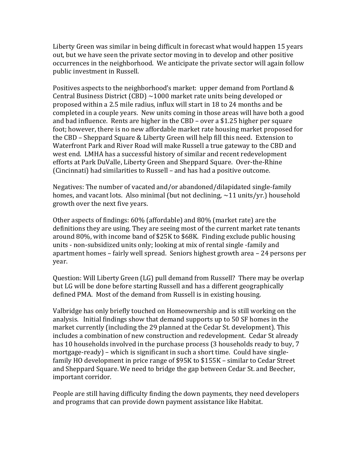Liberty Green was similar in being difficult in forecast what would happen 15 years out, but we have seen the private sector moving in to develop and other positive occurrences in the neighborhood. We anticipate the private sector will again follow public investment in Russell.

Positives aspects to the neighborhood's market: upper demand from Portland & Central Business District (CBD)  $\sim$ 1000 market rate units being developed or proposed within a 2.5 mile radius, influx will start in 18 to 24 months and be completed in a couple years. New units coming in those areas will have both a good and bad influence. Rents are higher in the CBD – over a \$1.25 higher per square foot; however, there is no new affordable market rate housing market proposed for the CBD – Sheppard Square & Liberty Green will help fill this need. Extension to Waterfront Park and River Road will make Russell a true gateway to the CBD and west end. LMHA has a successful history of similar and recent redevelopment efforts at Park DuValle, Liberty Green and Sheppard Square. Over-the-Rhine (Cincinnati) had similarities to Russell – and has had a positive outcome.

Negatives: The number of vacated and/or abandoned/dilapidated single-family homes, and vacant lots. Also minimal (but not declining,  $\sim$ 11 units/yr.) household growth over the next five years.

Other aspects of findings: 60% (affordable) and 80% (market rate) are the definitions they are using. They are seeing most of the current market rate tenants around 80%, with income band of \$25K to \$68K. Finding exclude public housing units - non-subsidized units only; looking at mix of rental single -family and apartment homes – fairly well spread. Seniors highest growth area – 24 persons per year.

Question: Will Liberty Green (LG) pull demand from Russell? There may be overlap but LG will be done before starting Russell and has a different geographically defined PMA. Most of the demand from Russell is in existing housing.

Valbridge has only briefly touched on Homeownership and is still working on the analysis. Initial findings show that demand supports up to 50 SF homes in the market currently (including the 29 planned at the Cedar St. development). This includes a combination of new construction and redevelopment. Cedar St already has 10 households involved in the purchase process (3 households ready to buy, 7 mortgage-ready) – which is significant in such a short time. Could have singlefamily HO development in price range of \$95K to \$155K – similar to Cedar Street and Sheppard Square. We need to bridge the gap between Cedar St. and Beecher, important corridor.

People are still having difficulty finding the down payments, they need developers and programs that can provide down payment assistance like Habitat.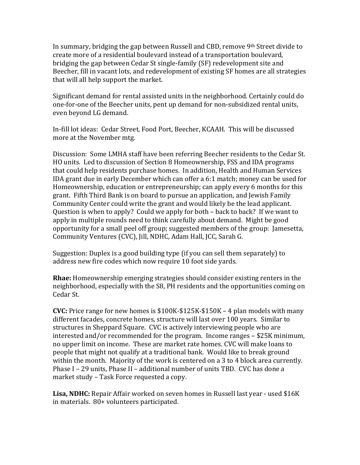In summary, bridging the gap between Russell and CBD, remove  $9<sup>th</sup>$  Street divide to create more of a residential boulevard instead of a transportation boulevard, bridging the gap between Cedar St single-family (SF) redevelopment site and Beecher, fill in vacant lots, and redevelopment of existing SF homes are all strategies that will all help support the market.

Significant demand for rental assisted units in the neighborhood. Certainly could do one-for-one of the Beecher units, pent up demand for non-subsidized rental units, even beyond LG demand.

In-fill lot ideas: Cedar Street, Food Port, Beecher, KCAAH. This will be discussed more at the November mtg.

Discussion: Some LMHA staff have been referring Beecher residents to the Cedar St. HO units. Led to discussion of Section 8 Homeownership, FSS and IDA programs that could help residents purchase homes. In addition, Health and Human Services IDA grant due in early December which can offer a 6:1 match; money can be used for Homeownership, education or entrepreneurship; can apply every 6 months for this grant. Fifth Third Bank is on board to pursue an application, and Jewish Family Community Center could write the grant and would likely be the lead applicant. Question is when to apply? Could we apply for both – back to back? If we want to apply in multiple rounds need to think carefully about demand. Might be good opportunity for a small peel off group; suggested members of the group: Jamesetta, Community Ventures (CVC), Jill, NDHC, Adam Hall, JCC, Sarah G.

Suggestion: Duplex is a good building type (if you can sell them separately) to address new fire codes which now require 10 foot side yards.

**Rhae:** Homeownership emerging strategies should consider existing renters in the neighborhood, especially with the S8, PH residents and the opportunities coming on Cedar St.

**CVC:** Price range for new homes is \$100K-\$125K-\$150K – 4 plan models with many different facades, concrete homes, structure will last over 100 years. Similar to structures in Sheppard Square. CVC is actively interviewing people who are interested and/or recommended for the program. Income ranges – \$25K minimum, no upper limit on income. These are market rate homes. CVC will make loans to people that might not qualify at a traditional bank. Would like to break ground within the month. Majority of the work is centered on a 3 to 4 block area currently. Phase I – 29 units, Phase II – additional number of units TBD. CVC has done a market study – Task Force requested a copy.

**Lisa, NDHC:** Repair Affair worked on seven homes in Russell last year - used \$16K in materials. 80+ volunteers participated.